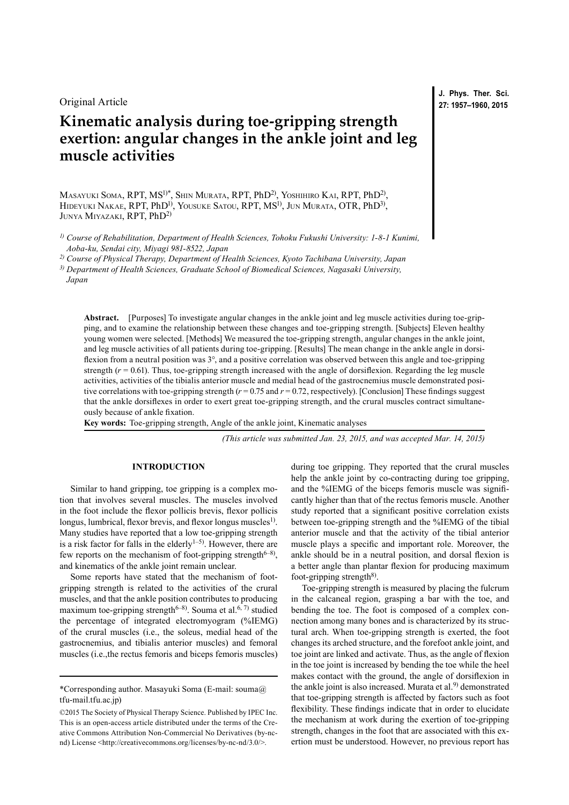Original Article

# **Kinematic analysis during toe-gripping strength exertion: angular changes in the ankle joint and leg muscle activities**

Masayuki Soma, RPT, MS1)\*, Shin Murata, RPT, PhD2), Yoshihiro Kai, RPT, PhD2), Hideyuki Nakae, RPT, PhD1), Yousuke Satou, RPT, MS1), Jun Murata, OTR, PhD3), Junya Miyazaki, RPT, PhD2)

*1) Course of Rehabilitation, Department of Health Sciences, Tohoku Fukushi University: 1-8-1 Kunimi, Aoba-ku, Sendai city, Miyagi 981-8522, Japan*

*2) Course of Physical Therapy, Department of Health Sciences, Kyoto Tachibana University, Japan*

*3) Department of Health Sciences, Graduate School of Biomedical Sciences, Nagasaki University,* 

*Japan*

**Abstract.** [Purposes] To investigate angular changes in the ankle joint and leg muscle activities during toe-gripping, and to examine the relationship between these changes and toe-gripping strength. [Subjects] Eleven healthy young women were selected. [Methods] We measured the toe-gripping strength, angular changes in the ankle joint, and leg muscle activities of all patients during toe-gripping. [Results] The mean change in the ankle angle in dorsiflexion from a neutral position was 3°, and a positive correlation was observed between this angle and toe-gripping strength  $(r = 0.61)$ . Thus, toe-gripping strength increased with the angle of dorsifiexion. Regarding the leg muscle activities, activities of the tibialis anterior muscle and medial head of the gastrocnemius muscle demonstrated positive correlations with toe-gripping strength  $(r = 0.75$  and  $r = 0.72$ , respectively). [Conclusion] These findings suggest that the ankle dorsiflexes in order to exert great toe-gripping strength, and the crural muscles contract simultaneously because of ankle fixation.

**Key words:** Toe-gripping strength, Angle of the ankle joint, Kinematic analyses

*(This article was submitted Jan. 23, 2015, and was accepted Mar. 14, 2015)*

# **INTRODUCTION**

Similar to hand gripping, toe gripping is a complex motion that involves several muscles. The muscles involved in the foot include the flexor pollicis brevis, flexor pollicis longus, lumbrical, flexor brevis, and flexor longus muscles<sup>[1\)](#page-3-0)</sup>. Many studies have reported that a low toe-gripping strength is a risk factor for falls in the elderly $1-5$ . However, there are few reports on the mechanism of foot-gripping strength<sup> $6-8$ )</sup>, and kinematics of the ankle joint remain unclear.

Some reports have stated that the mechanism of footgripping strength is related to the activities of the crural muscles, and that the ankle position contributes to producing maximum toe-gripping strength<sup> $6-8$ </sup>. Souma et al.<sup>[6, 7](#page-3-1))</sup> studied the percentage of integrated electromyogram (%IEMG) of the crural muscles (i.e., the soleus, medial head of the gastrocnemius, and tibialis anterior muscles) and femoral muscles (i.e.,the rectus femoris and biceps femoris muscles)

during toe gripping. They reported that the crural muscles help the ankle joint by co-contracting during toe gripping, and the %IEMG of the biceps femoris muscle was significantly higher than that of the rectus femoris muscle. Another study reported that a significant positive correlation exists between toe-gripping strength and the %IEMG of the tibial anterior muscle and that the activity of the tibial anterior muscle plays a specific and important role. Moreover, the ankle should be in a neutral position, and dorsal flexion is a better angle than plantar flexion for producing maximum foot-gripping strength<sup>8)</sup>.

Toe-gripping strength is measured by placing the fulcrum in the calcaneal region, grasping a bar with the toe, and bending the toe. The foot is composed of a complex connection among many bones and is characterized by its structural arch. When toe-gripping strength is exerted, the foot changes its arched structure, and the forefoot ankle joint, and toe joint are linked and activate. Thus, as the angle of flexion in the toe joint is increased by bending the toe while the heel makes contact with the ground, the angle of dorsiflexion in the ankle joint is also increased. Murata et al.<sup>9)</sup> demonstrated that toe-gripping strength is affected by factors such as foot flexibility. These findings indicate that in order to elucidate the mechanism at work during the exertion of toe-gripping strength, changes in the foot that are associated with this exertion must be understood. However, no previous report has

**J. Phys. Ther. Sci. 27: 1957–1960, 2015**

<sup>\*</sup>Corresponding author. Masayuki Soma (E-mail: souma@ tfu-mail.tfu.ac.jp)

<sup>©2015</sup> The Society of Physical Therapy Science. Published by IPEC Inc. This is an open-access article distributed under the terms of the Creative Commons Attribution Non-Commercial No Derivatives (by-ncnd) License [<http://creativecommons.org/licenses/by-nc-nd/3.0/>](http://creativecommons.org/licenses/by-nc-nd/3.0/).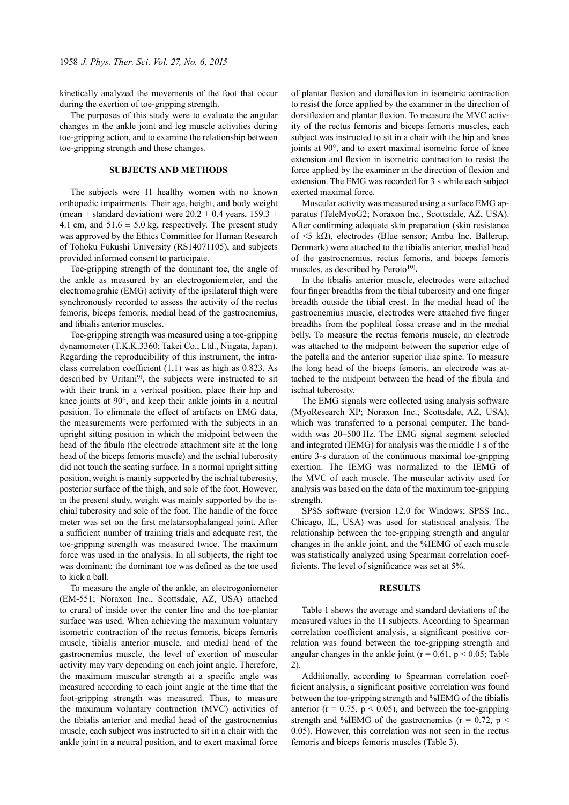kinetically analyzed the movements of the foot that occur during the exertion of toe-gripping strength.

The purposes of this study were to evaluate the angular changes in the ankle joint and leg muscle activities during toe-gripping action, and to examine the relationship between toe-gripping strength and these changes.

## **SUBJECTS AND METHODS**

The subjects were 11 healthy women with no known orthopedic impairments. Their age, height, and body weight (mean  $\pm$  standard deviation) were 20.2  $\pm$  0.4 years, 159.3  $\pm$ 4.1 cm, and  $51.6 \pm 5.0$  kg, respectively. The present study was approved by the Ethics Committee for Human Research of Tohoku Fukushi University (RS14071105), and subjects provided informed consent to participate.

Toe-gripping strength of the dominant toe, the angle of the ankle as measured by an electrogoniometer, and the electromograhic (EMG) activity of the ipsilateral thigh were synchronously recorded to assess the activity of the rectus femoris, biceps femoris, medial head of the gastrocnemius, and tibialis anterior muscles.

Toe-gripping strength was measured using a toe-gripping dynamometer (T.K.K.3360; Takei Co., Ltd., Niigata, Japan). Regarding the reproducibility of this instrument, the intraclass correlation coefficient (1,1) was as high as 0.823. As described by Uritani<sup>9</sup>, the subjects were instructed to sit with their trunk in a vertical position, place their hip and knee joints at 90°, and keep their ankle joints in a neutral position. To eliminate the effect of artifacts on EMG data, the measurements were performed with the subjects in an upright sitting position in which the midpoint between the head of the fibula (the electrode attachment site at the long head of the biceps femoris muscle) and the ischial tuberosity did not touch the seating surface. In a normal upright sitting position, weight is mainly supported by the ischial tuberosity, posterior surface of the thigh, and sole of the foot. However, in the present study, weight was mainly supported by the ischial tuberosity and sole of the foot. The handle of the force meter was set on the first metatarsophalangeal joint. After a sufficient number of training trials and adequate rest, the toe-gripping strength was measured twice. The maximum force was used in the analysis. In all subjects, the right toe was dominant; the dominant toe was defined as the toe used to kick a ball.

To measure the angle of the ankle, an electrogoniometer (EM-551; Noraxon Inc., Scottsdale, AZ, USA) attached to crural of inside over the center line and the toe-plantar surface was used. When achieving the maximum voluntary isometric contraction of the rectus femoris, biceps femoris muscle, tibialis anterior muscle, and medial head of the gastrocnemius muscle, the level of exertion of muscular activity may vary depending on each joint angle. Therefore, the maximum muscular strength at a specific angle was measured according to each joint angle at the time that the foot-gripping strength was measured. Thus, to measure the maximum voluntary contraction (MVC) activities of the tibialis anterior and medial head of the gastrocnemius muscle, each subject was instructed to sit in a chair with the ankle joint in a neutral position, and to exert maximal force of plantar flexion and dorsiflexion in isometric contraction to resist the force applied by the examiner in the direction of dorsiflexion and plantar flexion. To measure the MVC activity of the rectus femoris and biceps femoris muscles, each subject was instructed to sit in a chair with the hip and knee joints at 90°, and to exert maximal isometric force of knee extension and flexion in isometric contraction to resist the force applied by the examiner in the direction of flexion and extension. The EMG was recorded for 3 s while each subject exerted maximal force.

Muscular activity was measured using a surface EMG apparatus (TeleMyoG2; Noraxon Inc., Scottsdale, AZ, USA). After confirming adequate skin preparation (skin resistance of <5 kΩ), electrodes (Blue sensor; Ambu Inc. Ballerup, Denmark) were attached to the tibialis anterior, medial head of the gastrocnemius, rectus femoris, and biceps femoris muscles, as described by Peroto $10$ .

In the tibialis anterior muscle, electrodes were attached four finger breadths from the tibial tuberosity and one finger breadth outside the tibial crest. In the medial head of the gastrocnemius muscle, electrodes were attached five finger breadths from the popliteal fossa crease and in the medial belly. To measure the rectus femoris muscle, an electrode was attached to the midpoint between the superior edge of the patella and the anterior superior iliac spine. To measure the long head of the biceps femoris, an electrode was attached to the midpoint between the head of the fibula and ischial tuberosity.

The EMG signals were collected using analysis software (MyoResearch XP; Noraxon Inc., Scottsdale, AZ, USA), which was transferred to a personal computer. The bandwidth was 20–500 Hz. The EMG signal segment selected and integrated (IEMG) for analysis was the middle 1 s of the entire 3-s duration of the continuous maximal toe-gripping exertion. The IEMG was normalized to the IEMG of the MVC of each muscle. The muscular activity used for analysis was based on the data of the maximum toe-gripping strength.

SPSS software (version 12.0 for Windows; SPSS Inc., Chicago, IL, USA) was used for statistical analysis. The relationship between the toe-gripping strength and angular changes in the ankle joint, and the %IEMG of each muscle was statistically analyzed using Spearman correlation coefficients. The level of significance was set at 5%.

#### **RESULTS**

Table 1 shows the average and standard deviations of the measured values in the 11 subjects. According to Spearman correlation coefficient analysis, a significant positive correlation was found between the toe-gripping strength and angular changes in the ankle joint ( $r = 0.61$ ,  $p < 0.05$ ; Table 2).

Additionally, according to Spearman correlation coefficient analysis, a significant positive correlation was found between the toe-gripping strength and %IEMG of the tibialis anterior ( $r = 0.75$ ,  $p < 0.05$ ), and between the toe-gripping strength and %IEMG of the gastrocnemius ( $r = 0.72$ ,  $p <$ 0.05). However, this correlation was not seen in the rectus femoris and biceps femoris muscles (Table 3).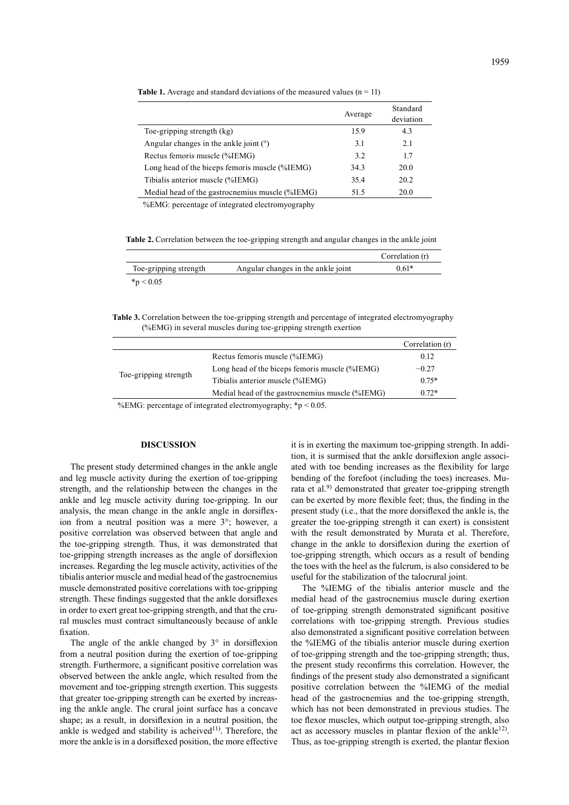|                                                 | Average | Standard<br>deviation |
|-------------------------------------------------|---------|-----------------------|
| Toe-gripping strength (kg)                      | 15.9    | 4.3                   |
| Angular changes in the ankle joint $(°)$        | 3.1     | 2.1                   |
| Rectus femoris muscle (%IEMG)                   | 3.2     | 17                    |
| Long head of the biceps femoris muscle (%IEMG)  | 34.3    | 20.0                  |
| Tibialis anterior muscle (%IEMG)                | 35.4    | 20.2                  |
| Medial head of the gastrocnemius muscle (%IEMG) | 51.5    | 20.0                  |

**Table 1.** Average and standard deviations of the measured values  $(n = 11)$ 

%EMG: percentage of integrated electromyography

**Table 2.** Correlation between the toe-gripping strength and angular changes in the ankle joint

|                       |                                    | Correlation (r) |
|-----------------------|------------------------------------|-----------------|
| Toe-gripping strength | Angular changes in the ankle joint | $0.61*$         |
| $*_p$ < 0.05          |                                    |                 |

**Table 3.** Correlation between the toe-gripping strength and percentage of integrated electromyography (%EMG) in several muscles during toe-gripping strength exertion

|                                                                                       |                                                 | Correlation (r) |  |  |
|---------------------------------------------------------------------------------------|-------------------------------------------------|-----------------|--|--|
| Toe-gripping strength                                                                 | Rectus femoris muscle (%IEMG)                   | 0.12            |  |  |
|                                                                                       | Long head of the biceps femoris muscle (%IEMG)  | $-0.27$         |  |  |
|                                                                                       | Tibialis anterior muscle (%IEMG)                | $0.75*$         |  |  |
|                                                                                       | Medial head of the gastrocnemius muscle (%IEMG) | $0.72*$         |  |  |
| $0/EMC$ consentance of integrated electrons consequently $\kappa_{\rm m}$ $\geq 0.05$ |                                                 |                 |  |  |

%EMG: percentage of integrated electromyography:  $*p < 0.05$ .

### **DISCUSSION**

The present study determined changes in the ankle angle and leg muscle activity during the exertion of toe-gripping strength, and the relationship between the changes in the ankle and leg muscle activity during toe-gripping. In our analysis, the mean change in the ankle angle in dorsiflexion from a neutral position was a mere 3°; however, a positive correlation was observed between that angle and the toe-gripping strength. Thus, it was demonstrated that toe-gripping strength increases as the angle of dorsiflexion increases. Regarding the leg muscle activity, activities of the tibialis anterior muscle and medial head of the gastrocnemius muscle demonstrated positive correlations with toe-gripping strength. These findings suggested that the ankle dorsiflexes in order to exert great toe-gripping strength, and that the crural muscles must contract simultaneously because of ankle fixation.

The angle of the ankle changed by 3° in dorsiflexion from a neutral position during the exertion of toe-gripping strength. Furthermore, a significant positive correlation was observed between the ankle angle, which resulted from the movement and toe-gripping strength exertion. This suggests that greater toe-gripping strength can be exerted by increasing the ankle angle. The crural joint surface has a concave shape; as a result, in dorsiflexion in a neutral position, the ankle is wedged and stability is acheived<sup>11)</sup>. Therefore, the more the ankle is in a dorsiflexed position, the more effective

it is in exerting the maximum toe-gripping strength. In addition, it is surmised that the ankle dorsiflexion angle associated with toe bending increases as the flexibility for large bending of the forefoot (including the toes) increases. Mu-rata et al.<sup>[9\)](#page-3-3)</sup> demonstrated that greater toe-gripping strength can be exerted by more flexible feet; thus, the finding in the present study (i.e., that the more dorsiflexed the ankle is, the greater the toe-gripping strength it can exert) is consistent with the result demonstrated by Murata et al. Therefore, change in the ankle to dorsiflexion during the exertion of toe-gripping strength, which occurs as a result of bending the toes with the heel as the fulcrum, is also considered to be useful for the stabilization of the talocrural joint.

The %IEMG of the tibialis anterior muscle and the medial head of the gastrocnemius muscle during exertion of toe-gripping strength demonstrated significant positive correlations with toe-gripping strength. Previous studies also demonstrated a significant positive correlation between the %IEMG of the tibialis anterior muscle during exertion of toe-gripping strength and the toe-gripping strength; thus, the present study reconfirms this correlation. However, the findings of the present study also demonstrated a significant positive correlation between the %IEMG of the medial head of the gastrocnemius and the toe-gripping strength, which has not been demonstrated in previous studies. The toe flexor muscles, which output toe-gripping strength, also act as accessory muscles in plantar flexion of the ankle<sup>[12](#page-3-6))</sup>. Thus, as toe-gripping strength is exerted, the plantar flexion